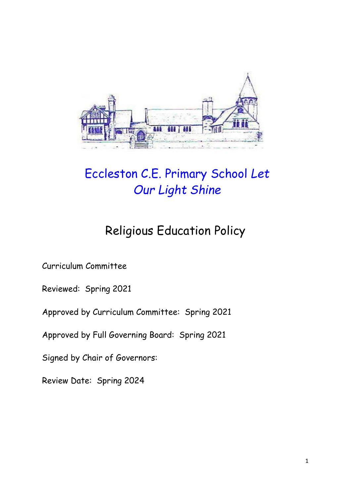

# Eccleston C.E. Primary School *Let Our Light Shine*

# Religious Education Policy

Curriculum Committee

Reviewed: Spring 2021

Approved by Curriculum Committee: Spring 2021

Approved by Full Governing Board: Spring 2021

Signed by Chair of Governors:

Review Date: Spring 2024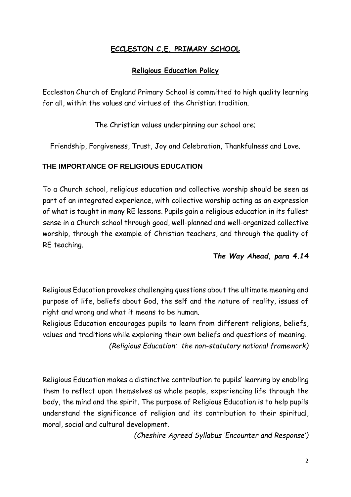### **ECCLESTON C.E. PRIMARY SCHOOL**

#### **Religious Education Policy**

Eccleston Church of England Primary School is committed to high quality learning for all, within the values and virtues of the Christian tradition.

The Christian values underpinning our school are;

Friendship, Forgiveness, Trust, Joy and Celebration, Thankfulness and Love.

#### **THE IMPORTANCE OF RELIGIOUS EDUCATION**

To a Church school, religious education and collective worship should be seen as part of an integrated experience, with collective worship acting as an expression of what is taught in many RE lessons. Pupils gain a religious education in its fullest sense in a Church school through good, well-planned and well-organized collective worship, through the example of Christian teachers, and through the quality of RE teaching.

#### *The Way Ahead, para 4.14*

Religious Education provokes challenging questions about the ultimate meaning and purpose of life, beliefs about God, the self and the nature of reality, issues of right and wrong and what it means to be human.

Religious Education encourages pupils to learn from different religions, beliefs, values and traditions while exploring their own beliefs and questions of meaning. *(Religious Education: the non-statutory national framework)* 

Religious Education makes a distinctive contribution to pupils' learning by enabling them to reflect upon themselves as whole people, experiencing life through the body, the mind and the spirit. The purpose of Religious Education is to help pupils understand the significance of religion and its contribution to their spiritual, moral, social and cultural development.

*(Cheshire Agreed Syllabus 'Encounter and Response')*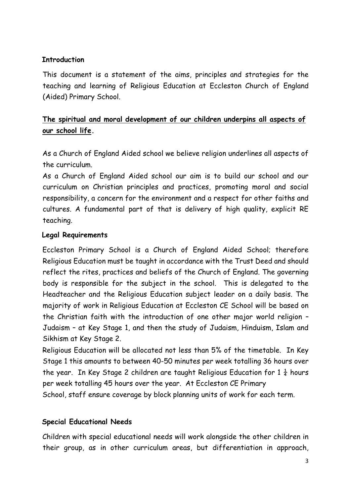#### **Introduction**

This document is a statement of the aims, principles and strategies for the teaching and learning of Religious Education at Eccleston Church of England (Aided) Primary School.

# **The spiritual and moral development of our children underpins all aspects of our school life.**

As a Church of England Aided school we believe religion underlines all aspects of the curriculum.

As a Church of England Aided school our aim is to build our school and our curriculum on Christian principles and practices, promoting moral and social responsibility, a concern for the environment and a respect for other faiths and cultures. A fundamental part of that is delivery of high quality, explicit RE teaching.

### **Legal Requirements**

Eccleston Primary School is a Church of England Aided School; therefore Religious Education must be taught in accordance with the Trust Deed and should reflect the rites, practices and beliefs of the Church of England. The governing body is responsible for the subject in the school. This is delegated to the Headteacher and the Religious Education subject leader on a daily basis. The majority of work in Religious Education at Eccleston CE School will be based on the Christian faith with the introduction of one other major world religion – Judaism – at Key Stage 1, and then the study of Judaism, Hinduism, Islam and Sikhism at Key Stage 2.

Religious Education will be allocated not less than 5% of the timetable. In Key Stage 1 this amounts to between 40-50 minutes per week totalling 36 hours over the year. In Key Stage 2 children are taught Religious Education for 1  $\frac{1}{4}$  hours per week totalling 45 hours over the year. At Eccleston CE Primary School, staff ensure coverage by block planning units of work for each term.

#### **Special Educational Needs**

Children with special educational needs will work alongside the other children in their group, as in other curriculum areas, but differentiation in approach,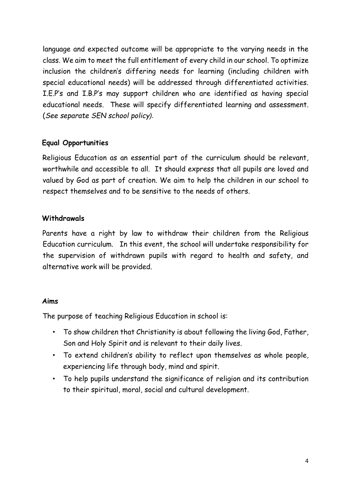language and expected outcome will be appropriate to the varying needs in the class. We aim to meet the full entitlement of every child in our school. To optimize inclusion the children's differing needs for learning (including children with special educational needs) will be addressed through differentiated activities. I.E.P's and I.B.P's may support children who are identified as having special educational needs. These will specify differentiated learning and assessment. (*See separate SEN school policy).*

#### **Equal Opportunities**

Religious Education as an essential part of the curriculum should be relevant, worthwhile and accessible to all. It should express that all pupils are loved and valued by God as part of creation. We aim to help the children in our school to respect themselves and to be sensitive to the needs of others.

### **Withdrawals**

Parents have a right by law to withdraw their children from the Religious Education curriculum. In this event, the school will undertake responsibility for the supervision of withdrawn pupils with regard to health and safety, and alternative work will be provided.

#### **Aims**

The purpose of teaching Religious Education in school is:

- To show children that Christianity is about following the living God, Father, Son and Holy Spirit and is relevant to their daily lives.
- To extend children's ability to reflect upon themselves as whole people, experiencing life through body, mind and spirit.
- To help pupils understand the significance of religion and its contribution to their spiritual, moral, social and cultural development.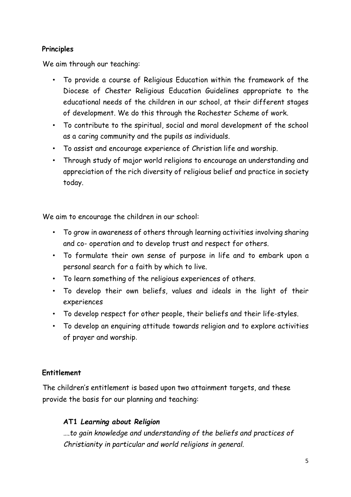#### **Principles**

We aim through our teaching:

- To provide a course of Religious Education within the framework of the Diocese of Chester Religious Education Guidelines appropriate to the educational needs of the children in our school, at their different stages of development. We do this through the Rochester Scheme of work.
- To contribute to the spiritual, social and moral development of the school as a caring community and the pupils as individuals.
- To assist and encourage experience of Christian life and worship.
- Through study of major world religions to encourage an understanding and appreciation of the rich diversity of religious belief and practice in society today.

We aim to encourage the children in our school:

- To grow in awareness of others through learning activities involving sharing and co- operation and to develop trust and respect for others.
- To formulate their own sense of purpose in life and to embark upon a personal search for a faith by which to live.
- To learn something of the religious experiences of others.
- To develop their own beliefs, values and ideals in the light of their experiences
- To develop respect for other people, their beliefs and their life-styles.
- To develop an enquiring attitude towards religion and to explore activities of prayer and worship.

# **Entitlement**

The children's entitlement is based upon two attainment targets, and these provide the basis for our planning and teaching:

# **AT1** *Learning about Religion*

….*to gain knowledge and understanding of the beliefs and practices of Christianity in particular and world religions in general.*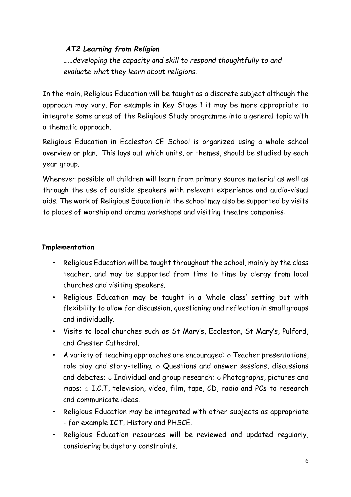## *AT2 Learning from Religion*

……*developing the capacity and skill to respond thoughtfully to and evaluate what they learn about religions.* 

In the main, Religious Education will be taught as a discrete subject although the approach may vary. For example in Key Stage 1 it may be more appropriate to integrate some areas of the Religious Study programme into a general topic with a thematic approach.

Religious Education in Eccleston CE School is organized using a whole school overview or plan. This lays out which units, or themes, should be studied by each year group.

Wherever possible all children will learn from primary source material as well as through the use of outside speakers with relevant experience and audio-visual aids. The work of Religious Education in the school may also be supported by visits to places of worship and drama workshops and visiting theatre companies.

## **Implementation**

- Religious Education will be taught throughout the school, mainly by the class teacher, and may be supported from time to time by clergy from local churches and visiting speakers.
- Religious Education may be taught in a 'whole class' setting but with flexibility to allow for discussion, questioning and reflection in small groups and individually.
- Visits to local churches such as St Mary's, Eccleston, St Mary's, Pulford, and Chester Cathedral.
- A variety of teaching approaches are encouraged:  $\circ$  Teacher presentations, role play and story-telling; o Questions and answer sessions, discussions and debates; o Individual and group research; o Photographs, pictures and maps;  $\circ$  I.C.T, television, video, film, tape, CD, radio and PCs to research and communicate ideas.
- Religious Education may be integrated with other subjects as appropriate - for example ICT, History and PHSCE.
- Religious Education resources will be reviewed and updated regularly, considering budgetary constraints.